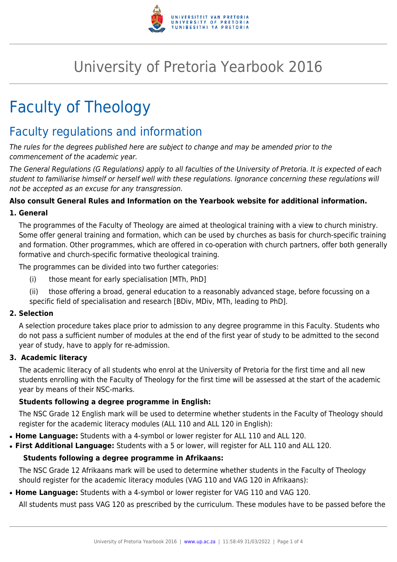

# University of Pretoria Yearbook 2016

# Faculty of Theology

# Faculty regulations and information

The rules for the degrees published here are subject to change and may be amended prior to the commencement of the academic year.

The General Regulations (G Regulations) apply to all faculties of the University of Pretoria. It is expected of each student to familiarise himself or herself well with these regulations. Ignorance concerning these regulations will not be accepted as an excuse for any transgression.

# **Also consult General Rules and Information on the Yearbook website for additional information.**

# **1. General**

The programmes of the Faculty of Theology are aimed at theological training with a view to church ministry. Some offer general training and formation, which can be used by churches as basis for church-specific training and formation. Other programmes, which are offered in co-operation with church partners, offer both generally formative and church-specific formative theological training.

The programmes can be divided into two further categories:

- (i) those meant for early specialisation [MTh, PhD]
- (ii) those offering a broad, general education to a reasonably advanced stage, before focussing on a specific field of specialisation and research [BDiv, MDiv, MTh, leading to PhD].

# **2. Selection**

A selection procedure takes place prior to admission to any degree programme in this Faculty. Students who do not pass a sufficient number of modules at the end of the first year of study to be admitted to the second year of study, have to apply for re-admission.

# **3. Academic literacy**

The academic literacy of all students who enrol at the University of Pretoria for the first time and all new students enrolling with the Faculty of Theology for the first time will be assessed at the start of the academic year by means of their NSC-marks.

# **Students following a degree programme in English:**

The NSC Grade 12 English mark will be used to determine whether students in the Faculty of Theology should register for the academic literacy modules (ALL 110 and ALL 120 in English):

- **Home Language:** Students with a 4-symbol or lower register for ALL 110 and ALL 120.
- **First Additional Language:** Students with a 5 or lower, will register for ALL 110 and ALL 120.

# **Students following a degree programme in Afrikaans:**

The NSC Grade 12 Afrikaans mark will be used to determine whether students in the Faculty of Theology should register for the academic literacy modules (VAG 110 and VAG 120 in Afrikaans):

• Home Language: Students with a 4-symbol or lower register for VAG 110 and VAG 120.

All students must pass VAG 120 as prescribed by the curriculum. These modules have to be passed before the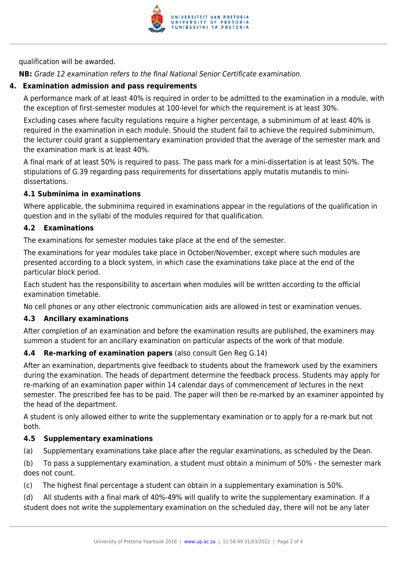

qualification will be awarded.

**NB:** Grade 12 examination refers to the final National Senior Certificate examination.

### **4. Examination admission and pass requirements**

A performance mark of at least 40% is required in order to be admitted to the examination in a module, with the exception of first-semester modules at 100-level for which the requirement is at least 30%.

Excluding cases where faculty regulations require a higher percentage, a subminimum of at least 40% is required in the examination in each module. Should the student fail to achieve the required subminimum, the lecturer could grant a supplementary examination provided that the average of the semester mark and the examination mark is at least 40%.

A final mark of at least 50% is required to pass. The pass mark for a mini-dissertation is at least 50%. The stipulations of G.39 regarding pass requirements for dissertations apply mutatis mutandis to minidissertations.

#### **4.1 Subminima in examinations**

Where applicable, the subminima required in examinations appear in the regulations of the qualification in question and in the syllabi of the modules required for that qualification.

#### **4.2 Examinations**

The examinations for semester modules take place at the end of the semester.

The examinations for year modules take place in October/November, except where such modules are presented according to a block system, in which case the examinations take place at the end of the particular block period.

Each student has the responsibility to ascertain when modules will be written according to the official examination timetable.

No cell phones or any other electronic communication aids are allowed in test or examination venues.

#### **4.3 Ancillary examinations**

After completion of an examination and before the examination results are published, the examiners may summon a student for an ancillary examination on particular aspects of the work of that module.

# **4.4 Re-marking of examination papers** (also consult Gen Reg G.14)

After an examination, departments give feedback to students about the framework used by the examiners during the examination. The heads of department determine the feedback process. Students may apply for re-marking of an examination paper within 14 calendar days of commencement of lectures in the next semester. The prescribed fee has to be paid. The paper will then be re-marked by an examiner appointed by the head of the department.

A student is only allowed either to write the supplementary examination or to apply for a re-mark but not both.

#### **4.5 Supplementary examinations**

(a) Supplementary examinations take place after the regular examinations, as scheduled by the Dean.

(b) To pass a supplementary examination, a student must obtain a minimum of 50% - the semester mark does not count.

(c) The highest final percentage a student can obtain in a supplementary examination is 50%.

(d) All students with a final mark of 40%-49% will qualify to write the supplementary examination. If a student does not write the supplementary examination on the scheduled day, there will not be any later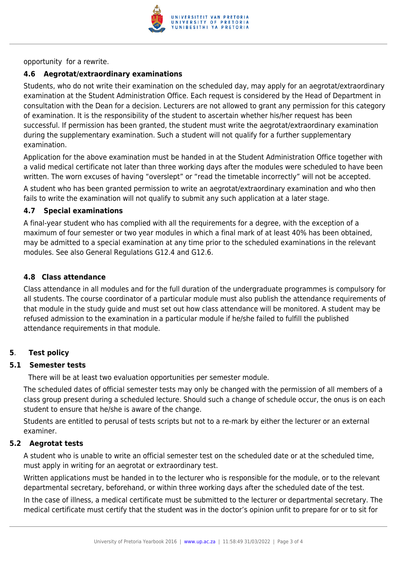

opportunity for a rewrite.

### **4.6 Aegrotat/extraordinary examinations**

Students, who do not write their examination on the scheduled day, may apply for an aegrotat/extraordinary examination at the Student Administration Office. Each request is considered by the Head of Department in consultation with the Dean for a decision. Lecturers are not allowed to grant any permission for this category of examination. It is the responsibility of the student to ascertain whether his/her request has been successful. If permission has been granted, the student must write the aegrotat/extraordinary examination during the supplementary examination. Such a student will not qualify for a further supplementary examination.

Application for the above examination must be handed in at the Student Administration Office together with a valid medical certificate not later than three working days after the modules were scheduled to have been written. The worn excuses of having "overslept" or "read the timetable incorrectly" will not be accepted.

A student who has been granted permission to write an aegrotat/extraordinary examination and who then fails to write the examination will not qualify to submit any such application at a later stage.

#### **4.7 Special examinations**

A final-year student who has complied with all the requirements for a degree, with the exception of a maximum of four semester or two year modules in which a final mark of at least 40% has been obtained, may be admitted to a special examination at any time prior to the scheduled examinations in the relevant modules. See also General Regulations G12.4 and G12.6.

#### **4.8 Class attendance**

Class attendance in all modules and for the full duration of the undergraduate programmes is compulsory for all students. The course coordinator of a particular module must also publish the attendance requirements of that module in the study guide and must set out how class attendance will be monitored. A student may be refused admission to the examination in a particular module if he/she failed to fulfill the published attendance requirements in that module.

#### **5**. **Test policy**

#### **5.1 Semester tests**

There will be at least two evaluation opportunities per semester module.

The scheduled dates of official semester tests may only be changed with the permission of all members of a class group present during a scheduled lecture. Should such a change of schedule occur, the onus is on each student to ensure that he/she is aware of the change.

Students are entitled to perusal of tests scripts but not to a re-mark by either the lecturer or an external examiner.

#### **5.2 Aegrotat tests**

A student who is unable to write an official semester test on the scheduled date or at the scheduled time, must apply in writing for an aegrotat or extraordinary test.

Written applications must be handed in to the lecturer who is responsible for the module, or to the relevant departmental secretary, beforehand, or within three working days after the scheduled date of the test.

In the case of illness, a medical certificate must be submitted to the lecturer or departmental secretary. The medical certificate must certify that the student was in the doctor's opinion unfit to prepare for or to sit for